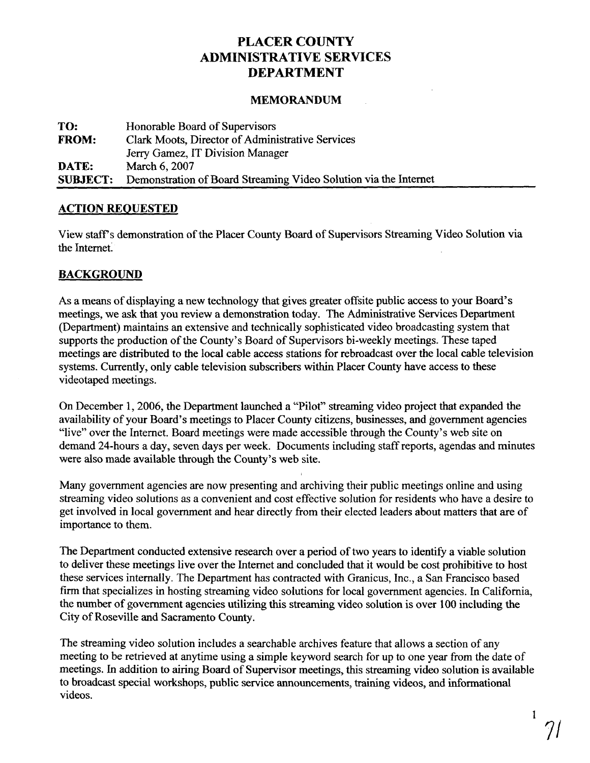# **PLACER COUNTY ADMINISTRATIVE SERVICES DEPARTMENT**

#### **MEMORANDUM**

| TO:             | Honorable Board of Supervisors                                   |
|-----------------|------------------------------------------------------------------|
| <b>FROM:</b>    | Clark Moots, Director of Administrative Services                 |
|                 | Jerry Gamez, IT Division Manager                                 |
| DATE:           | March 6, 2007                                                    |
| <b>SUBJECT:</b> | Demonstration of Board Streaming Video Solution via the Internet |

#### **ACTION REQUESTED**

View staff's demonstration of the Placer County Board of Supervisors Streaming Video Solution via the Internet:

#### **BACKGROUND**

As a means of displaying a new technology that gives greater offsite public access to your Board's meetings, we ask that you review a demonstration today. The Administrative Services Department (Department) maintains an extensive and technically sophisticated video broadcasting system that supports the production of the County's Board of Supervisors bi-weekly meetings. These taped meetings are distributed to the local cable access stations for rebroadcast over the local cable television systems. Currently, only cable television subscribers within Placer County have access to these videotaped meetings.

On December 1,2006, the Department launched a "Pilot" streaming video project that expanded the availability of your Board's meetings to Placer County citizens, businesses, and government agencies "live" over the Internet. Board meetings were made accessible through the County's web site on demand 24-hours a day, seven days per week. Documents including staff reports, agendas and minutes were also made available through the County's web site.

Many government agencies are now presenting and archiving their public meetings online and using streaming video solutions as a convenient and cost effective solution for residents who have a desire to get involved in local government and hear directly from their elected leaders about matters that are of importance to them.

The Department conducted extensive research over a period of two years to identify a viable solution to deliver these meetings live over the Internet and concluded that it would be cost prohibitive to host these services internally. The Department has contracted with Granicus, Inc., a San Francisco based firm that specializes in hosting streaming video solutions for local government agencies. In California, the number of government agencies utilizing this streaming video solution is over 100 including the City of Roseville and Sacramento County.

The streaming video solution includes a searchable archives feature that allows a section of any meeting to be retrieved at anytime using a simple keyword search for up to one year from the date of meetings. In addition to airing Board of Supervisor meetings, this streaming video solution is available to broadcast special workshops, public service announcements, training videos, and informational videos.